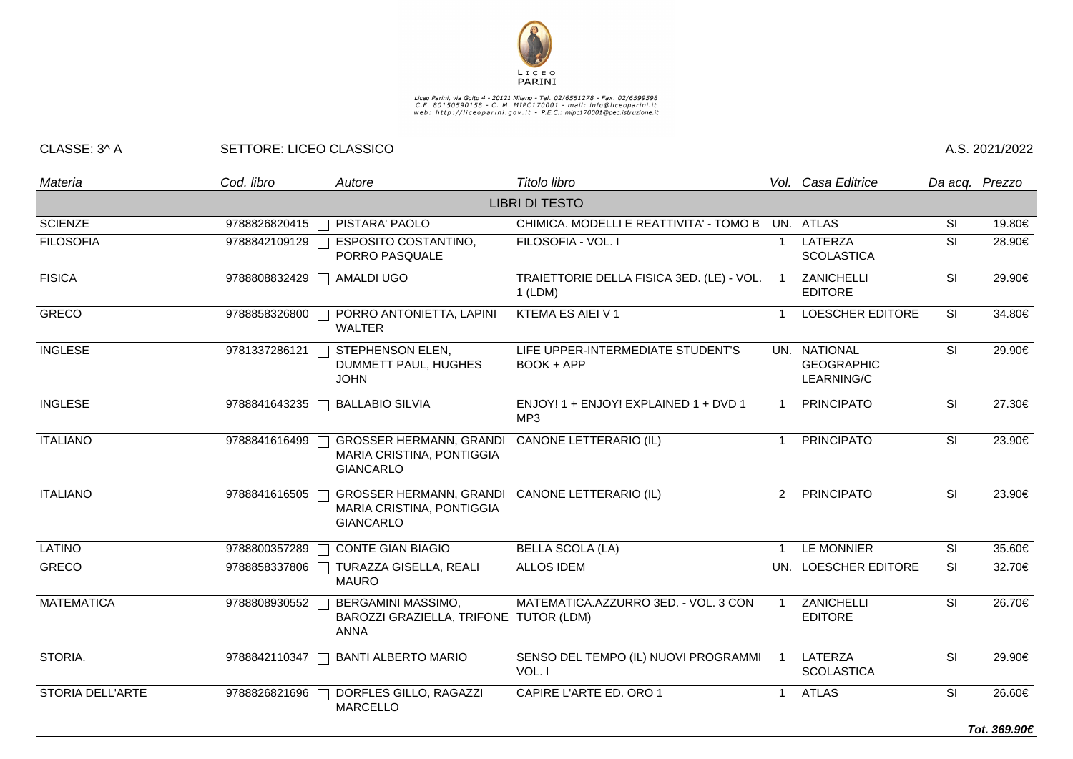

## Liceo Parini, via Goito 4 - 20121 Milano - Tel. 02/6551278 - Fax. 02/6599598<br>C.F. 80150590158 - C. M. MIPC170001 - mail: info@liceoparini.it<br>web: http://liceoparini.gov.it - P.E.C.: mipc170001@pec.istruzione.it

## CLASSE: 3^ A SETTORE: LICEO CLASSICO A.S. 2021/2022

| Materia           | Cod. libro    | Autore                                                                          | Titolo libro                                         |                          | Vol. Casa Editrice                              |                          | Da acq. Prezzo |
|-------------------|---------------|---------------------------------------------------------------------------------|------------------------------------------------------|--------------------------|-------------------------------------------------|--------------------------|----------------|
|                   |               |                                                                                 | <b>LIBRI DI TESTO</b>                                |                          |                                                 |                          |                |
| <b>SCIENZE</b>    | 9788826820415 | PISTARA' PAOLO<br>$\Box$                                                        | CHIMICA. MODELLI E REATTIVITA' - TOMO B              |                          | UN. ATLAS                                       | <b>SI</b>                | 19.80€         |
| <b>FILOSOFIA</b>  | 9788842109129 | <b>ESPOSITO COSTANTINO,</b><br>PORRO PASQUALE                                   | FILOSOFIA - VOL. I                                   | $\overline{1}$           | LATERZA<br><b>SCOLASTICA</b>                    | SI                       | 28.90€         |
| <b>FISICA</b>     | 9788808832429 | AMALDI UGO                                                                      | TRAIETTORIE DELLA FISICA 3ED. (LE) - VOL.<br>1 (LDM) | $\overline{\phantom{0}}$ | ZANICHELLI<br><b>EDITORE</b>                    | SI                       | 29.90€         |
| <b>GRECO</b>      | 9788858326800 | PORRO ANTONIETTA, LAPINI<br><b>WALTER</b>                                       | KTEMA ES AIEI V 1                                    | -1                       | <b>LOESCHER EDITORE</b>                         | SI                       | 34.80€         |
| <b>INGLESE</b>    | 9781337286121 | STEPHENSON ELEN,<br>DUMMETT PAUL, HUGHES<br><b>JOHN</b>                         | LIFE UPPER-INTERMEDIATE STUDENT'S<br>BOOK + APP      |                          | UN. NATIONAL<br><b>GEOGRAPHIC</b><br>LEARNING/C | SI                       | 29.90€         |
| <b>INGLESE</b>    | 9788841643235 | <b>BALLABIO SILVIA</b><br>$\Box$                                                | ENJOY! 1 + ENJOY! EXPLAINED 1 + DVD 1<br>MP3         | -1                       | <b>PRINCIPATO</b>                               | SI                       | 27.30€         |
| <b>ITALIANO</b>   | 9788841616499 | <b>GROSSER HERMANN, GRANDI</b><br>MARIA CRISTINA, PONTIGGIA<br><b>GIANCARLO</b> | CANONE LETTERARIO (IL)                               | $\mathbf{1}$             | <b>PRINCIPATO</b>                               | SI                       | 23.90€         |
| <b>ITALIANO</b>   | 9788841616505 | <b>GROSSER HERMANN, GRANDI</b><br>MARIA CRISTINA, PONTIGGIA<br><b>GIANCARLO</b> | CANONE LETTERARIO (IL)                               | $\mathcal{P}$            | <b>PRINCIPATO</b>                               | SI                       | 23.90€         |
| <b>LATINO</b>     | 9788800357289 | <b>CONTE GIAN BIAGIO</b><br>$\Box$                                              | <b>BELLA SCOLA (LA)</b>                              | -1                       | LE MONNIER                                      | <b>SI</b>                | 35.60€         |
| <b>GRECO</b>      | 9788858337806 | TURAZZA GISELLA, REALI<br><b>MAURO</b>                                          | <b>ALLOS IDEM</b>                                    |                          | UN. LOESCHER EDITORE                            | <b>SI</b>                | 32.70€         |
| <b>MATEMATICA</b> | 9788808930552 | BERGAMINI MASSIMO,<br>BAROZZI GRAZIELLA, TRIFONE TUTOR (LDM)<br><b>ANNA</b>     | MATEMATICA.AZZURRO 3ED. - VOL. 3 CON                 |                          | ZANICHELLI<br><b>EDITORE</b>                    | <b>SI</b>                | 26.70€         |
| STORIA.           | 9788842110347 | <b>BANTI ALBERTO MARIO</b>                                                      | SENSO DEL TEMPO (IL) NUOVI PROGRAMMI<br>VOL. I       |                          | <b>LATERZA</b><br><b>SCOLASTICA</b>             | $\overline{\mathsf{SI}}$ | 29.90€         |
| STORIA DELL'ARTE  | 9788826821696 | DORFLES GILLO, RAGAZZI<br><b>MARCELLO</b>                                       | CAPIRE L'ARTE ED. ORO 1                              | $\mathbf{1}$             | <b>ATLAS</b>                                    | SI                       | 26.60€         |
|                   |               |                                                                                 |                                                      |                          |                                                 |                          | Tot. 369.90€   |